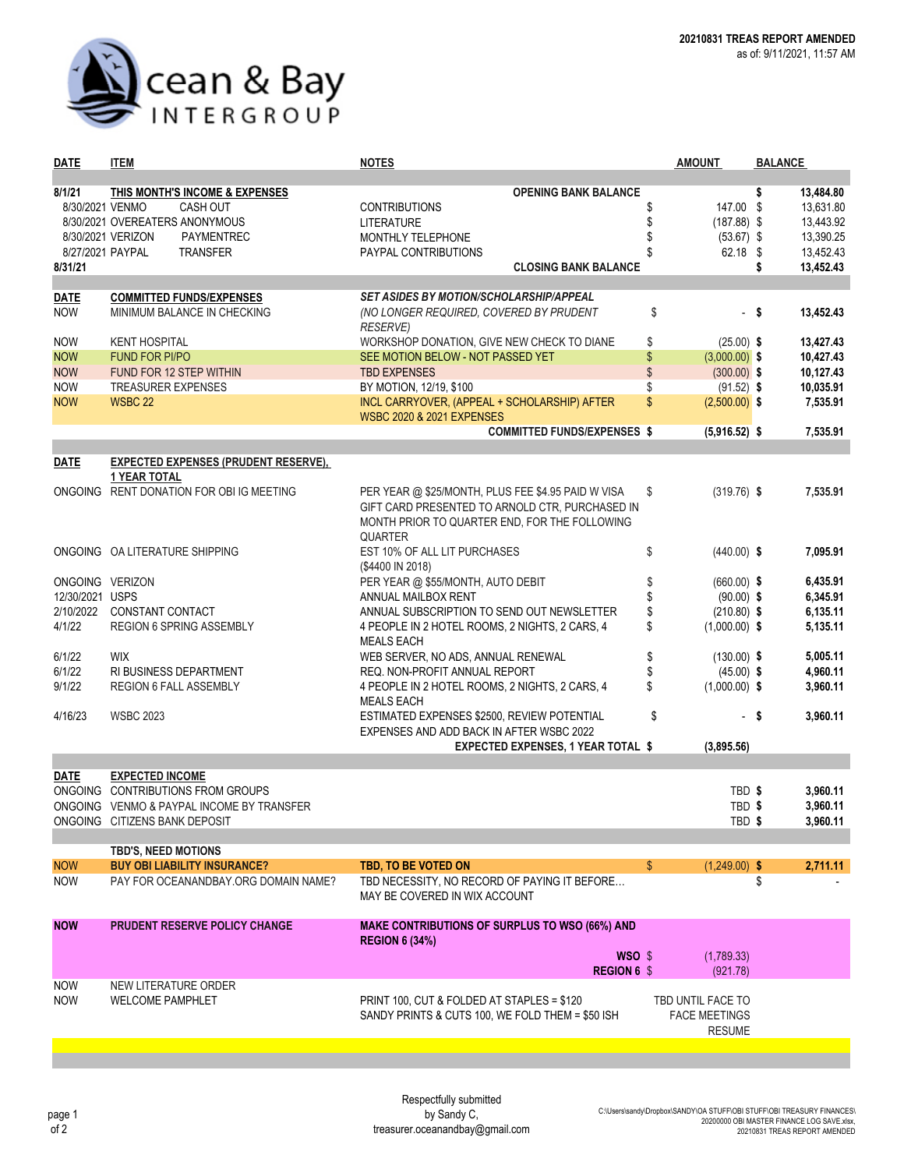

| <b>DATE</b>              | <b>ITEM</b>                                     | <b>NOTES</b>                                                               | <b>AMOUNT</b>                   | <b>BALANCE</b>    |
|--------------------------|-------------------------------------------------|----------------------------------------------------------------------------|---------------------------------|-------------------|
|                          |                                                 |                                                                            |                                 |                   |
| 8/1/21                   | THIS MONTH'S INCOME & EXPENSES                  | <b>OPENING BANK BALANCE</b>                                                |                                 | 13,484.80<br>\$   |
| 8/30/2021 VENMO          | <b>CASH OUT</b>                                 | <b>CONTRIBUTIONS</b>                                                       | 147.00 \$<br>S                  | 13,631.80         |
|                          | 8/30/2021 OVEREATERS ANONYMOUS                  | <b>LITERATURE</b>                                                          | $(187.88)$ \$                   | 13,443.92         |
|                          | 8/30/2021 VERIZON<br>PAYMENTREC                 | MONTHLY TELEPHONE                                                          | $(53.67)$ \$                    | 13,390.25         |
|                          | 8/27/2021 PAYPAL<br><b>TRANSFER</b>             | PAYPAL CONTRIBUTIONS                                                       | 62.18 \$                        | 13,452.43         |
| 8/31/21                  |                                                 | <b>CLOSING BANK BALANCE</b>                                                |                                 | 13,452.43<br>\$   |
|                          |                                                 |                                                                            |                                 |                   |
| <b>DATE</b>              | <b>COMMITTED FUNDS/EXPENSES</b>                 | <b>SET ASIDES BY MOTION/SCHOLARSHIP/APPEAL</b>                             |                                 |                   |
| <b>NOW</b>               | MINIMUM BALANCE IN CHECKING                     | (NO LONGER REQUIRED, COVERED BY PRUDENT                                    | \$                              | 13,452.43<br>- \$ |
|                          |                                                 | <b>RESERVE)</b>                                                            |                                 |                   |
| <b>NOW</b>               | <b>KENT HOSPITAL</b>                            | WORKSHOP DONATION, GIVE NEW CHECK TO DIANE                                 | \$<br>$(25.00)$ \$              | 13,427.43         |
| <b>NOW</b>               | <b>FUND FOR PI/PO</b>                           | SEE MOTION BELOW - NOT PASSED YET                                          | \$<br>$(3,000.00)$ \$           | 10,427.43         |
| <b>NOW</b>               | FUND FOR 12 STEP WITHIN                         | <b>TBD EXPENSES</b>                                                        | \$<br>$(300.00)$ \$             | 10,127.43         |
| <b>NOW</b>               | <b>TREASURER EXPENSES</b>                       | BY MOTION, 12/19, \$100                                                    | \$<br>$(91.52)$ \$              | 10,035.91         |
| <b>NOW</b>               | WSBC 22                                         | INCL CARRYOVER, (APPEAL + SCHOLARSHIP) AFTER                               | $\mathbb{S}$<br>$(2,500.00)$ \$ | 7,535.91          |
|                          |                                                 | <b>WSBC 2020 &amp; 2021 EXPENSES</b><br><b>COMMITTED FUNDS/EXPENSES \$</b> |                                 | 7,535.91          |
|                          |                                                 |                                                                            | $(5,916.52)$ \$                 |                   |
| <b>DATE</b>              | <b>EXPECTED EXPENSES (PRUDENT RESERVE),</b>     |                                                                            |                                 |                   |
|                          | <b>1 YEAR TOTAL</b>                             |                                                                            |                                 |                   |
|                          | ONGOING RENT DONATION FOR OBI IG MEETING        | PER YEAR @ \$25/MONTH, PLUS FEE \$4.95 PAID W VISA                         | $(319.76)$ \$<br>\$             | 7,535.91          |
|                          |                                                 | GIFT CARD PRESENTED TO ARNOLD CTR, PURCHASED IN                            |                                 |                   |
|                          |                                                 | MONTH PRIOR TO QUARTER END, FOR THE FOLLOWING                              |                                 |                   |
|                          |                                                 | <b>QUARTER</b>                                                             |                                 |                   |
|                          | ONGOING OA LITERATURE SHIPPING                  | EST 10% OF ALL LIT PURCHASES                                               | \$<br>$(440.00)$ \$             | 7,095.91          |
|                          |                                                 | (\$4400 IN 2018)                                                           |                                 |                   |
| ONGOING VERIZON          |                                                 | PER YEAR @ \$55/MONTH, AUTO DEBIT                                          | \$<br>$(660.00)$ \$             | 6,435.91          |
| 12/30/2021 USPS          |                                                 | ANNUAL MAILBOX RENT                                                        | \$<br>$(90.00)$ \$              | 6,345.91          |
| 2/10/2022                | CONSTANT CONTACT                                | ANNUAL SUBSCRIPTION TO SEND OUT NEWSLETTER                                 | \$<br>$(210.80)$ \$             | 6,135.11          |
| 4/1/22                   | REGION 6 SPRING ASSEMBLY                        | 4 PEOPLE IN 2 HOTEL ROOMS, 2 NIGHTS, 2 CARS, 4                             | \$<br>$(1,000.00)$ \$           | 5,135.11          |
|                          |                                                 | <b>MEALS EACH</b>                                                          |                                 |                   |
| 6/1/22                   | <b>WIX</b>                                      | WEB SERVER, NO ADS, ANNUAL RENEWAL                                         | \$<br>$(130.00)$ \$             | 5,005.11          |
| 6/1/22                   | RI BUSINESS DEPARTMENT                          | REQ. NON-PROFIT ANNUAL REPORT                                              | \$<br>$(45.00)$ \$              | 4,960.11          |
| 9/1/22                   | <b>REGION 6 FALL ASSEMBLY</b>                   | 4 PEOPLE IN 2 HOTEL ROOMS, 2 NIGHTS, 2 CARS, 4                             | \$<br>$(1,000.00)$ \$           | 3,960.11          |
|                          |                                                 | <b>MEALS EACH</b>                                                          |                                 |                   |
| 4/16/23                  | <b>WSBC 2023</b>                                | ESTIMATED EXPENSES \$2500, REVIEW POTENTIAL                                | \$                              | - \$<br>3,960.11  |
|                          |                                                 | EXPENSES AND ADD BACK IN AFTER WSBC 2022                                   |                                 |                   |
|                          |                                                 | <b>EXPECTED EXPENSES, 1 YEAR TOTAL \$</b>                                  | (3,895.56)                      |                   |
|                          |                                                 |                                                                            |                                 |                   |
| <b>DATE</b>              | <b>EXPECTED INCOME</b>                          |                                                                            |                                 |                   |
|                          | ONGOING CONTRIBUTIONS FROM GROUPS               |                                                                            | TBD \$                          | 3,960.11          |
|                          | ONGOING VENMO & PAYPAL INCOME BY TRANSFER       |                                                                            | TBD \$                          | 3,960.11          |
|                          | ONGOING CITIZENS BANK DEPOSIT                   |                                                                            | TBD \$                          | 3,960.11          |
|                          | <b>TBD'S, NEED MOTIONS</b>                      |                                                                            |                                 |                   |
| <b>NOW</b>               | <b>BUY OBI LIABILITY INSURANCE?</b>             | TBD. TO BE VOTED ON                                                        | \$<br>$(1,249.00)$ \$           | 2,711.11          |
| <b>NOW</b>               | PAY FOR OCEANANDBAY.ORG DOMAIN NAME?            | TBD NECESSITY, NO RECORD OF PAYING IT BEFORE                               |                                 | \$                |
|                          |                                                 | MAY BE COVERED IN WIX ACCOUNT                                              |                                 |                   |
|                          |                                                 |                                                                            |                                 |                   |
| <b>NOW</b>               | <b>PRUDENT RESERVE POLICY CHANGE</b>            | <b>MAKE CONTRIBUTIONS OF SURPLUS TO WSO (66%) AND</b>                      |                                 |                   |
|                          |                                                 | <b>REGION 6 (34%)</b>                                                      |                                 |                   |
|                          |                                                 | WSO \$                                                                     | (1,789.33)                      |                   |
|                          |                                                 | <b>REGION 6 \$</b>                                                         | (921.78)                        |                   |
| <b>NOW</b><br><b>NOW</b> | NEW LITERATURE ORDER<br><b>WELCOME PAMPHLET</b> | PRINT 100, CUT & FOLDED AT STAPLES = \$120                                 | TBD UNTIL FACE TO               |                   |
|                          |                                                 | SANDY PRINTS & CUTS 100, WE FOLD THEM = \$50 ISH                           | <b>FACE MEETINGS</b>            |                   |
|                          |                                                 |                                                                            | <b>RESUME</b>                   |                   |
|                          |                                                 |                                                                            |                                 |                   |